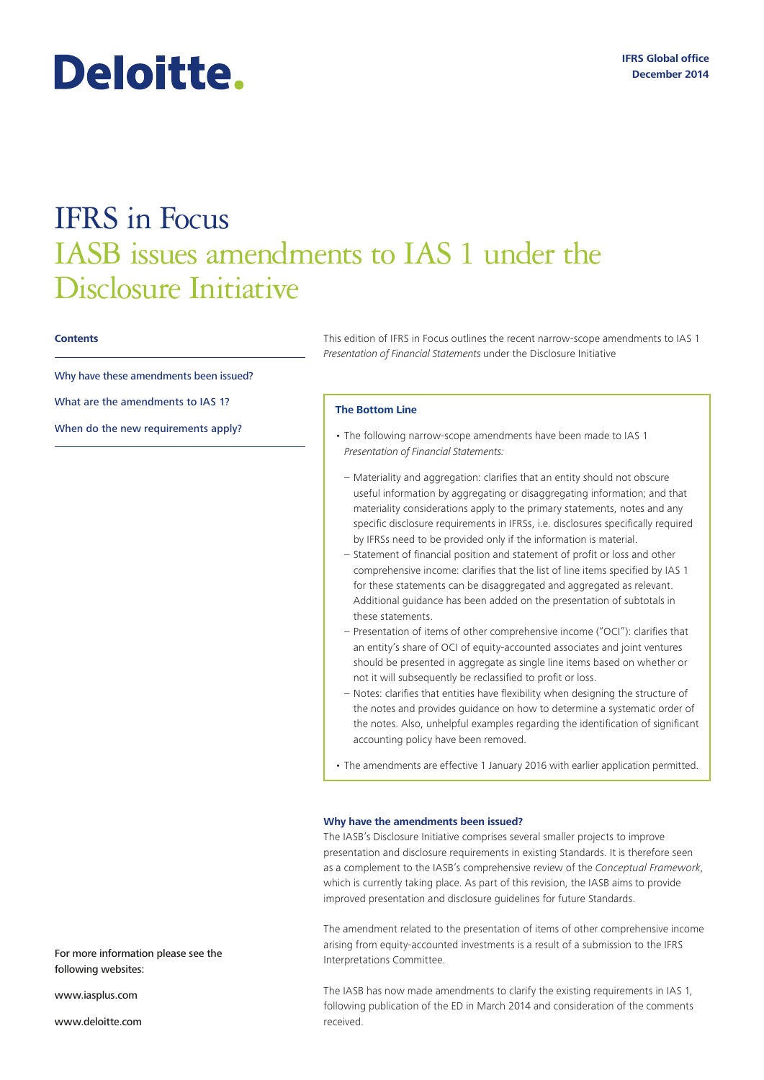# Deloitte.

## IFRS in Focus IASB issues amendments to IAS 1 under the Disclosure Initiative

#### **Contents**

Why have these amendments been issued?

What are the amendments to IAS 1?

When do the new requirements apply?

This edition of IFRS in Focus outlines the recent narrow-scope amendments to IAS 1 *Presentation of Financial Statements* under the Disclosure Initiative

#### **The Bottom Line**

- The following narrow-scope amendments have been made to IAS 1 *Presentation of Financial Statements:*
	- Materiality and aggregation: clarifies that an entity should not obscure useful information by aggregating or disaggregating information; and that materiality considerations apply to the primary statements, notes and any specific disclosure requirements in IFRSs, i.e. disclosures specifically required by IFRSs need to be provided only if the information is material.
	- Statement of financial position and statement of profit or loss and other comprehensive income: clarifies that the list of line items specified by IAS 1 for these statements can be disaggregated and aggregated as relevant. Additional guidance has been added on the presentation of subtotals in these statements.
	- Presentation of items of other comprehensive income ("OCI"): clarifies that an entity's share of OCI of equity-accounted associates and joint ventures should be presented in aggregate as single line items based on whether or not it will subsequently be reclassified to profit or loss.
- Notes: clarifies that entities have flexibility when designing the structure of the notes and provides guidance on how to determine a systematic order of the notes. Also, unhelpful examples regarding the identification of significant accounting policy have been removed.
- The amendments are effective 1 January 2016 with earlier application permitted.

### **Why have the amendments been issued?**

The IASB's Disclosure Initiative comprises several smaller projects to improve presentation and disclosure requirements in existing Standards. It is therefore seen as a complement to the IASB's comprehensive review of the *Conceptual Framework*, which is currently taking place. As part of this revision, the IASB aims to provide improved presentation and disclosure guidelines for future Standards.

The amendment related to the presentation of items of other comprehensive income arising from equity-accounted investments is a result of a submission to the IFRS Interpretations Committee.

The IASB has now made amendments to clarify the existing requirements in IAS 1, following publication of the ED in March 2014 and consideration of the comments received.

For more information please see the following websites:

www.iasplus.com

www.deloitte.com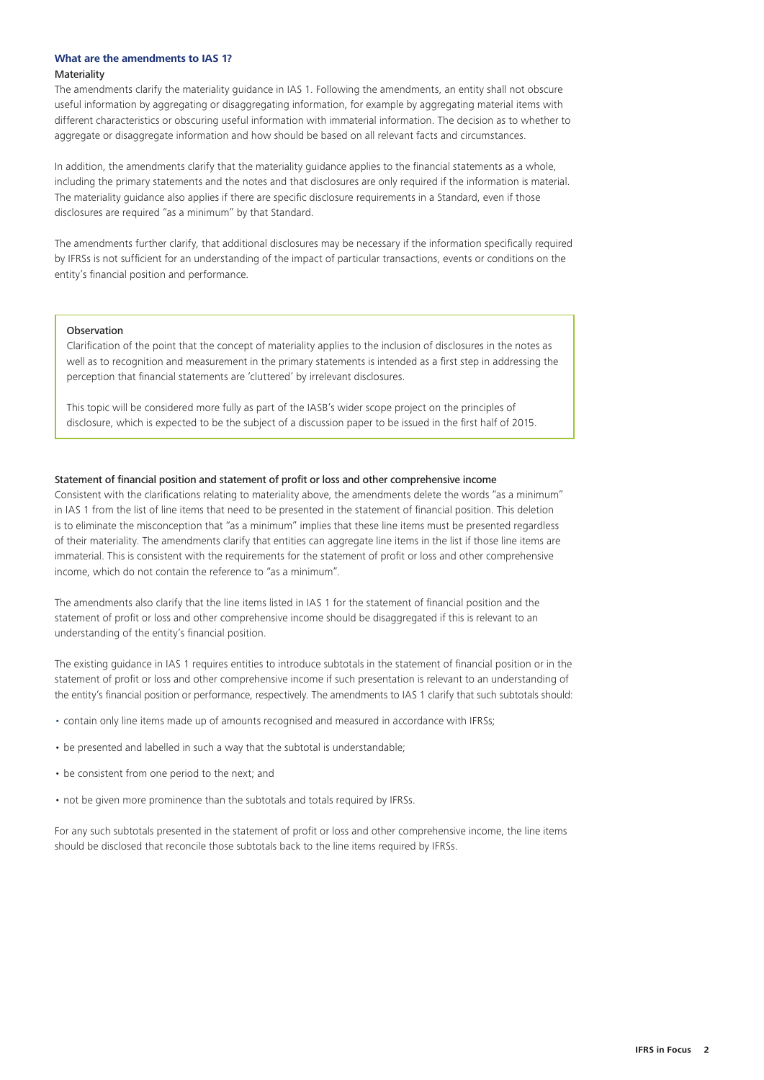#### **What are the amendments to IAS 1?** Materiality

The amendments clarify the materiality guidance in IAS 1. Following the amendments, an entity shall not obscure useful information by aggregating or disaggregating information, for example by aggregating material items with different characteristics or obscuring useful information with immaterial information. The decision as to whether to aggregate or disaggregate information and how should be based on all relevant facts and circumstances.

In addition, the amendments clarify that the materiality guidance applies to the financial statements as a whole, including the primary statements and the notes and that disclosures are only required if the information is material. The materiality guidance also applies if there are specific disclosure requirements in a Standard, even if those disclosures are required "as a minimum" by that Standard.

The amendments further clarify, that additional disclosures may be necessary if the information specifically required by IFRSs is not sufficient for an understanding of the impact of particular transactions, events or conditions on the entity's financial position and performance.

#### **Observation**

Clarification of the point that the concept of materiality applies to the inclusion of disclosures in the notes as well as to recognition and measurement in the primary statements is intended as a first step in addressing the perception that financial statements are 'cluttered' by irrelevant disclosures.

This topic will be considered more fully as part of the IASB's wider scope project on the principles of disclosure, which is expected to be the subject of a discussion paper to be issued in the first half of 2015.

#### Statement of financial position and statement of profit or loss and other comprehensive income

Consistent with the clarifications relating to materiality above, the amendments delete the words "as a minimum" in IAS 1 from the list of line items that need to be presented in the statement of financial position. This deletion is to eliminate the misconception that "as a minimum" implies that these line items must be presented regardless of their materiality. The amendments clarify that entities can aggregate line items in the list if those line items are immaterial. This is consistent with the requirements for the statement of profit or loss and other comprehensive income, which do not contain the reference to "as a minimum".

The amendments also clarify that the line items listed in IAS 1 for the statement of financial position and the statement of profit or loss and other comprehensive income should be disaggregated if this is relevant to an understanding of the entity's financial position.

The existing guidance in IAS 1 requires entities to introduce subtotals in the statement of financial position or in the statement of profit or loss and other comprehensive income if such presentation is relevant to an understanding of the entity's financial position or performance, respectively. The amendments to IAS 1 clarify that such subtotals should:

- contain only line items made up of amounts recognised and measured in accordance with IFRSs;
- be presented and labelled in such a way that the subtotal is understandable;
- be consistent from one period to the next; and
- not be given more prominence than the subtotals and totals required by IFRSs.

For any such subtotals presented in the statement of profit or loss and other comprehensive income, the line items should be disclosed that reconcile those subtotals back to the line items required by IFRSs.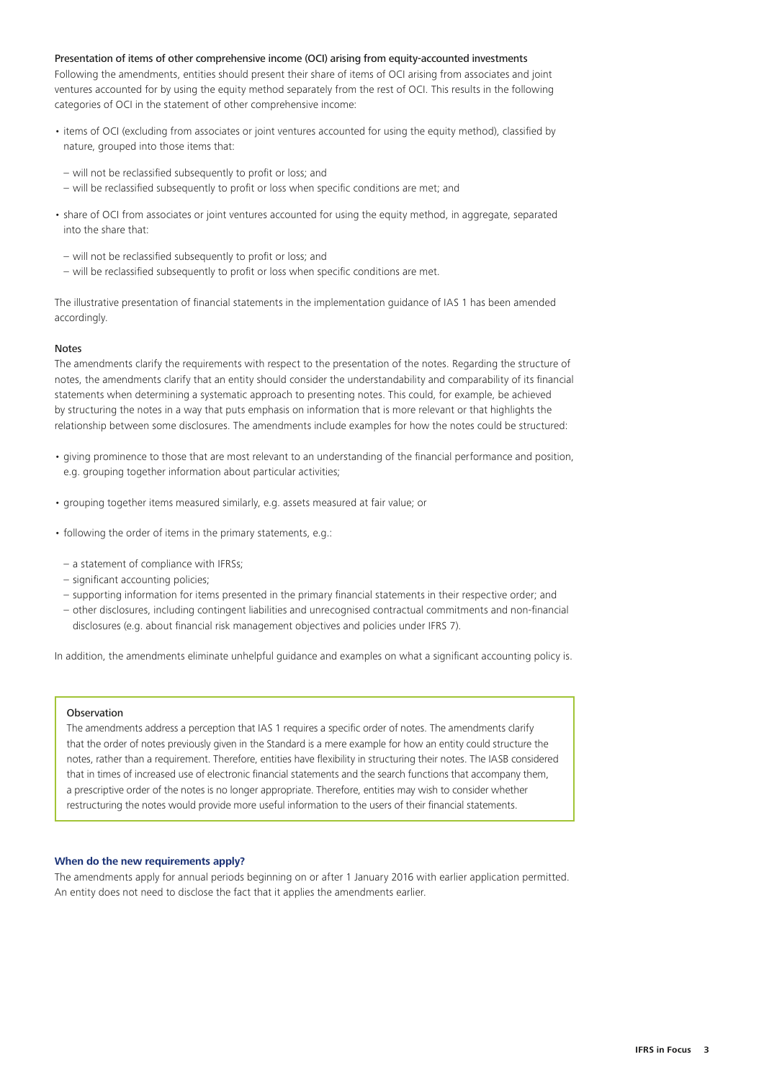#### Presentation of items of other comprehensive income (OCI) arising from equity-accounted investments

Following the amendments, entities should present their share of items of OCI arising from associates and joint ventures accounted for by using the equity method separately from the rest of OCI. This results in the following categories of OCI in the statement of other comprehensive income:

- items of OCI (excluding from associates or joint ventures accounted for using the equity method), classified by nature, grouped into those items that:
- will not be reclassified subsequently to profit or loss; and
- will be reclassified subsequently to profit or loss when specific conditions are met; and
- share of OCI from associates or joint ventures accounted for using the equity method, in aggregate, separated into the share that:
- will not be reclassified subsequently to profit or loss; and
- will be reclassified subsequently to profit or loss when specific conditions are met.

The illustrative presentation of financial statements in the implementation guidance of IAS 1 has been amended accordingly.

#### Notes

The amendments clarify the requirements with respect to the presentation of the notes. Regarding the structure of notes, the amendments clarify that an entity should consider the understandability and comparability of its financial statements when determining a systematic approach to presenting notes. This could, for example, be achieved by structuring the notes in a way that puts emphasis on information that is more relevant or that highlights the relationship between some disclosures. The amendments include examples for how the notes could be structured:

- giving prominence to those that are most relevant to an understanding of the financial performance and position, e.g. grouping together information about particular activities;
- grouping together items measured similarly, e.g. assets measured at fair value; or
- following the order of items in the primary statements, e.g.:
- a statement of compliance with IFRSs;
- significant accounting policies;
- supporting information for items presented in the primary financial statements in their respective order; and
- other disclosures, including contingent liabilities and unrecognised contractual commitments and non-financial disclosures (e.g. about financial risk management objectives and policies under IFRS 7).

In addition, the amendments eliminate unhelpful guidance and examples on what a significant accounting policy is.

#### Observation

The amendments address a perception that IAS 1 requires a specific order of notes. The amendments clarify that the order of notes previously given in the Standard is a mere example for how an entity could structure the notes, rather than a requirement. Therefore, entities have flexibility in structuring their notes. The IASB considered that in times of increased use of electronic financial statements and the search functions that accompany them, a prescriptive order of the notes is no longer appropriate. Therefore, entities may wish to consider whether restructuring the notes would provide more useful information to the users of their financial statements.

#### **When do the new requirements apply?**

The amendments apply for annual periods beginning on or after 1 January 2016 with earlier application permitted. An entity does not need to disclose the fact that it applies the amendments earlier.